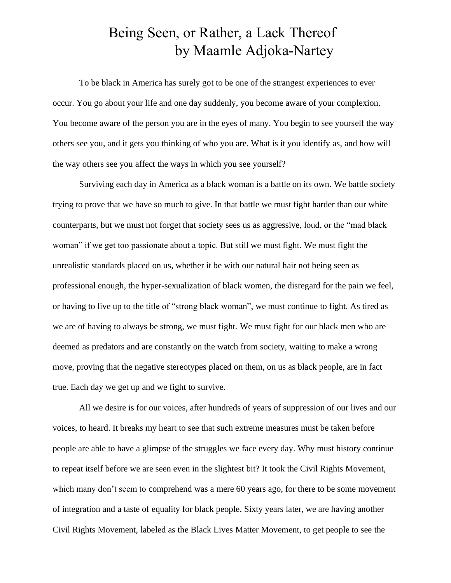## Being Seen, or Rather, a Lack Thereof by Maamle Adjoka-Nartey

To be black in America has surely got to be one of the strangest experiences to ever occur. You go about your life and one day suddenly, you become aware of your complexion. You become aware of the person you are in the eyes of many. You begin to see yourself the way others see you, and it gets you thinking of who you are. What is it you identify as, and how will the way others see you affect the ways in which you see yourself?

Surviving each day in America as a black woman is a battle on its own. We battle society trying to prove that we have so much to give. In that battle we must fight harder than our white counterparts, but we must not forget that society sees us as aggressive, loud, or the "mad black woman" if we get too passionate about a topic. But still we must fight. We must fight the unrealistic standards placed on us, whether it be with our natural hair not being seen as professional enough, the hyper-sexualization of black women, the disregard for the pain we feel, or having to live up to the title of "strong black woman", we must continue to fight. As tired as we are of having to always be strong, we must fight. We must fight for our black men who are deemed as predators and are constantly on the watch from society, waiting to make a wrong move, proving that the negative stereotypes placed on them, on us as black people, are in fact true. Each day we get up and we fight to survive.

All we desire is for our voices, after hundreds of years of suppression of our lives and our voices, to heard. It breaks my heart to see that such extreme measures must be taken before people are able to have a glimpse of the struggles we face every day. Why must history continue to repeat itself before we are seen even in the slightest bit? It took the Civil Rights Movement, which many don't seem to comprehend was a mere 60 years ago, for there to be some movement of integration and a taste of equality for black people. Sixty years later, we are having another Civil Rights Movement, labeled as the Black Lives Matter Movement, to get people to see the